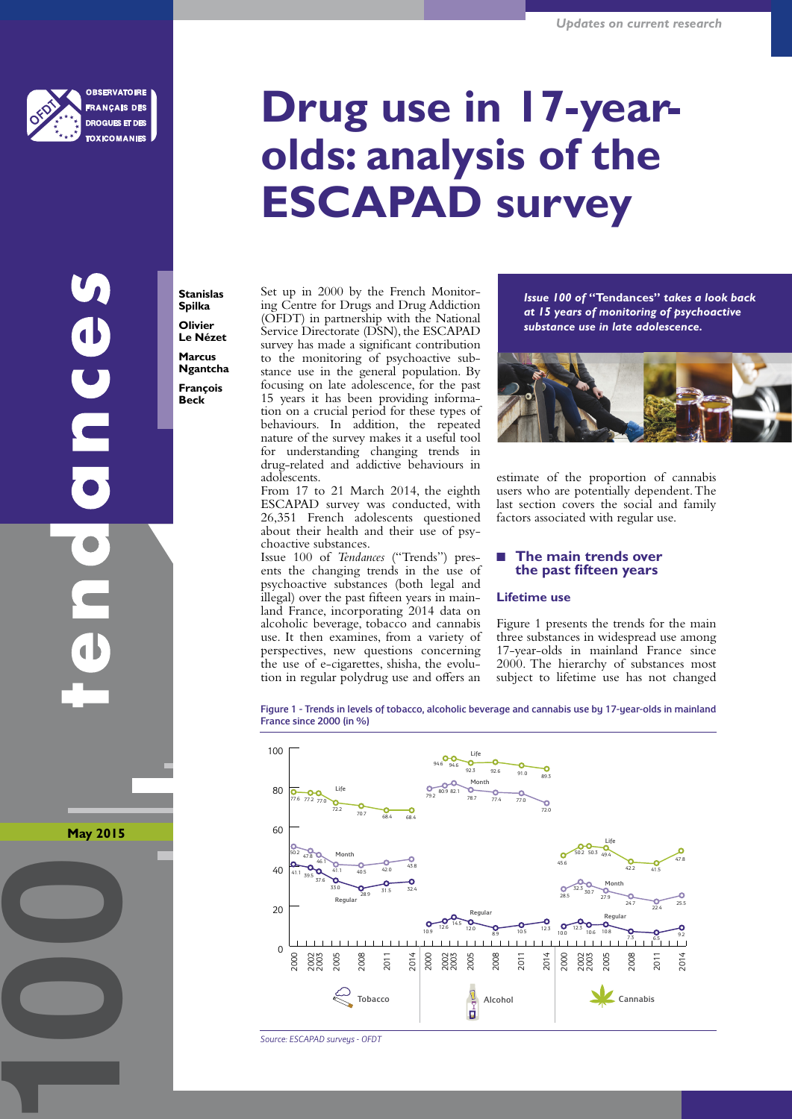

**SERVATOIRE ANCAIS DES GUES ET DE** 

CINCES

**May 2015**

**100**

# **Drug use in 17-yearolds: analysis of the ESCAPAD survey**

**Stanislas Spilka Olivier Le Nézet Marcus Ngantcha François Beck**

Set up in 2000 by the French Monitoring Centre for Drugs and Drug Addiction (OFDT) in partnership with the National Service Directorate (DSN), the ESCAPAD survey has made a significant contribution to the monitoring of psychoactive substance use in the general population. By focusing on late adolescence, for the past 15 years it has been providing information on a crucial period for these types of behaviours. In addition, the repeated nature of the survey makes it a useful tool for understanding changing trends in drug-related and addictive behaviours in adolescents.

From 17 to 21 March 2014, the eighth ESCAPAD survey was conducted, with 26,351 French adolescents questioned about their health and their use of psychoactive substances.

Issue 100 of *Tendances* ("Trends") presents the changing trends in the use of psychoactive substances (both legal and illegal) over the past fifteen years in mainland France, incorporating 2014 data on alcoholic beverage, tobacco and cannabis use. It then examines, from a variety of perspectives, new questions concerning the use of e-cigarettes, shisha, the evolution in regular polydrug use and offers an

*Issue 100 of* **"Tendances"** *takes a look back at 15 years of monitoring of psychoactive substance use in late adolescence.*



estimate of the proportion of cannabis users who are potentially dependent. The last section covers the social and family factors associated with regular use.

#### **The main trends over the past fifteen years**

#### **Lifetime use**

Figure 1 presents the trends for the main three substances in widespread use among 17-year-olds in mainland France since 2000. The hierarchy of substances most subject to lifetime use has not changed

Figure 1 - Trends in levels of tobacco, alcoholic beverage and cannabis use by 17-year-olds in mainland France since 2000 (in %)



*Source: ESCAPAD surveys - OFDT*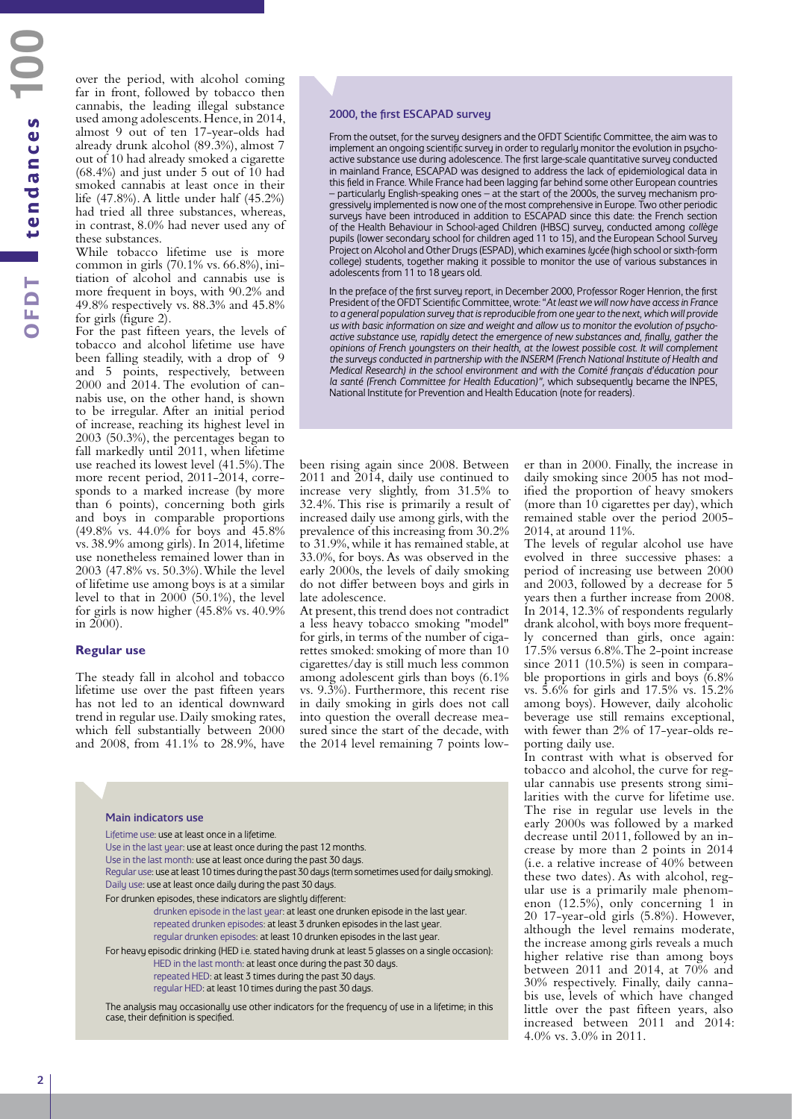over the period, with alcohol coming far in front, followed by tobacco then cannabis, the leading illegal substance used among adolescents. Hence, in 2014, almost 9 out of ten 17-year-olds had already drunk alcohol (89.3%), almost 7 out of 10 had already smoked a cigarette (68.4%) and just under 5 out of 10 had smoked cannabis at least once in their life (47.8%). A little under half (45.2%) had tried all three substances, whereas, in contrast, 8.0% had never used any of these substances.

While tobacco lifetime use is more common in girls (70.1% vs. 66.8%), initiation of alcohol and cannabis use is more frequent in boys, with 90.2% and 49.8% respectively vs. 88.3% and 45.8% for girls (figure 2).

For the past fifteen years, the levels of tobacco and alcohol lifetime use have been falling steadily, with a drop of 9 and 5 points, respectively, between 2000 and 2014. The evolution of cannabis use, on the other hand, is shown to be irregular. After an initial period of increase, reaching its highest level in 2003 (50.3%), the percentages began to fall markedly until 2011, when lifetime use reached its lowest level (41.5%). The more recent period, 2011-2014, corresponds to a marked increase (by more than 6 points), concerning both girls and boys in comparable proportions (49.8% vs. 44.0% for boys and 45.8% vs. 38.9% among girls). In 2014, lifetime use nonetheless remained lower than in 2003 (47.8% vs. 50.3%). While the level of lifetime use among boys is at a similar level to that in  $2000$  (50.1%), the level for girls is now higher (45.8% vs. 40.9% in 2000).

#### **Regular use**

The steady fall in alcohol and tobacco lifetime use over the past fifteen years has not led to an identical downward trend in regular use. Daily smoking rates, which fell substantially between 2000 and 2008, from 41.1% to 28.9%, have

#### 2000, the first ESCAPAD survey

From the outset, for the survey designers and the OFDT Scientific Committee, the aim was to implement an ongoing scientific survey in order to regularly monitor the evolution in psychoactive substance use during adolescence. The first large-scale quantitative survey conducted in mainland France, ESCAPAD was designed to address the lack of epidemiological data in this field in France. While France had been lagging far behind some other European countries – particularly English-speaking ones – at the start of the 2000s, the survey mechanism progressively implemented is now one of the most comprehensive in Europe. Two other periodic surveys have been introduced in addition to ESCAPAD since this date: the French section of the Health Behaviour in School-aged Children (HBSC) survey, conducted among *collège* pupils (lower secondary school for children aged 11 to 15), and the European School Survey Project on Alcohol and Other Drugs (ESPAD), which examines *lycée* (high school or sixth-form college) students, together making it possible to monitor the use of various substances in adolescents from 11 to 18 years old.

In the preface of the first survey report, in December 2000, Professor Roger Henrion, the first President of the OFDT Scientific Committee, wrote: "*At least we will now have access in France*  to a general population survey that is reproducible from one year to the next, which will provide *us with basic information on size and weight and allow us to monitor the evolution of psychoactive substance use, rapidly detect the emergence of new substances and, finally, gather the opinions of French youngsters on their health, at the lowest possible cost. It will complement the surveys conducted in partnership with the INSERM (French National Institute of Health and Medical Research) in the school environment and with the Comité français d'éducation pour la santé (French Committee for Health Education)",* which subsequently became the INPES, National Institute for Prevention and Health Education (note for readers).

been rising again since 2008. Between 2011 and 2014, daily use continued to increase very slightly, from 31.5% to 32.4%. This rise is primarily a result of increased daily use among girls, with the prevalence of this increasing from 30.2% to 31.9%, while it has remained stable, at 33.0%, for boys. As was observed in the early 2000s, the levels of daily smoking do not differ between boys and girls in late adolescence.

At present, this trend does not contradict a less heavy tobacco smoking "model" for girls, in terms of the number of cigarettes smoked: smoking of more than 10 cigarettes/day is still much less common among adolescent girls than boys (6.1% vs. 9.3%). Furthermore, this recent rise in daily smoking in girls does not call into question the overall decrease measured since the start of the decade, with the 2014 level remaining 7 points lower than in 2000. Finally, the increase in daily smoking since 2005 has not modified the proportion of heavy smokers (more than 10 cigarettes per day), which remained stable over the period 2005- 2014, at around 11%.

The levels of regular alcohol use have evolved in three successive phases: a period of increasing use between 2000 and 2003, followed by a decrease for 5 years then a further increase from 2008. In 2014, 12.3% of respondents regularly drank alcohol, with boys more frequently concerned than girls, once again: 17.5% versus 6.8%. The 2-point increase since 2011 (10.5%) is seen in comparable proportions in girls and boys (6.8% vs. 5.6% for girls and 17.5% vs. 15.2% among boys). However, daily alcoholic beverage use still remains exceptional, with fewer than 2% of 17-year-olds reporting daily use.

In contrast with what is observed for tobacco and alcohol, the curve for regular cannabis use presents strong similarities with the curve for lifetime use. The rise in regular use levels in the early 2000s was followed by a marked decrease until 2011, followed by an increase by more than 2 points in 2014 (i.e. a relative increase of 40% between these two dates). As with alcohol, regular use is a primarily male phenomenon (12.5%), only concerning 1 in 20 17-year-old girls (5.8%). However, although the level remains moderate, the increase among girls reveals a much higher relative rise than among boys between 2011 and 2014, at 70% and 30% respectively. Finally, daily cannabis use, levels of which have changed little over the past fifteen years, also increased between 2011 and 2014: 4.0% vs. 3.0% in 2011.

#### Main indicators use

| Plain Muuduvis use                                                                                                                                                                                                                                                                                                                                              |
|-----------------------------------------------------------------------------------------------------------------------------------------------------------------------------------------------------------------------------------------------------------------------------------------------------------------------------------------------------------------|
| Lifetime use: use at least once in a lifetime.<br>Use in the last year: use at least once during the past 12 months.<br>Use in the last month: use at least once during the past 30 days.<br>Regular use: use at least 10 times during the past 30 days (term sometimes used for daily smoking).<br>Daily use: use at least once daily during the past 30 days. |
| For drunken episodes, these indicators are slightly different:<br>drunken episode in the last year: at least one drunken episode in the last year.<br>repeated drunken episodes: at least 3 drunken episodes in the last year.<br>regular drunken episodes: at least 10 drunken episodes in the last year.                                                      |
| For heavy episodic drinking (HED i.e. stated having drunk at least 5 glasses on a single occasion):<br>HED in the last month: at least once during the past 30 days.<br>repeated HED: at least 3 times during the past 30 days.<br>regular HED: at least 10 times during the past 30 days.                                                                      |
| The analysis may occasionally use other indicators for the frequency of use in a lifetime; in this                                                                                                                                                                                                                                                              |

The analysis may occasionally use other indicators for the frequency of use in a lifetime; in this case, their definition is specified.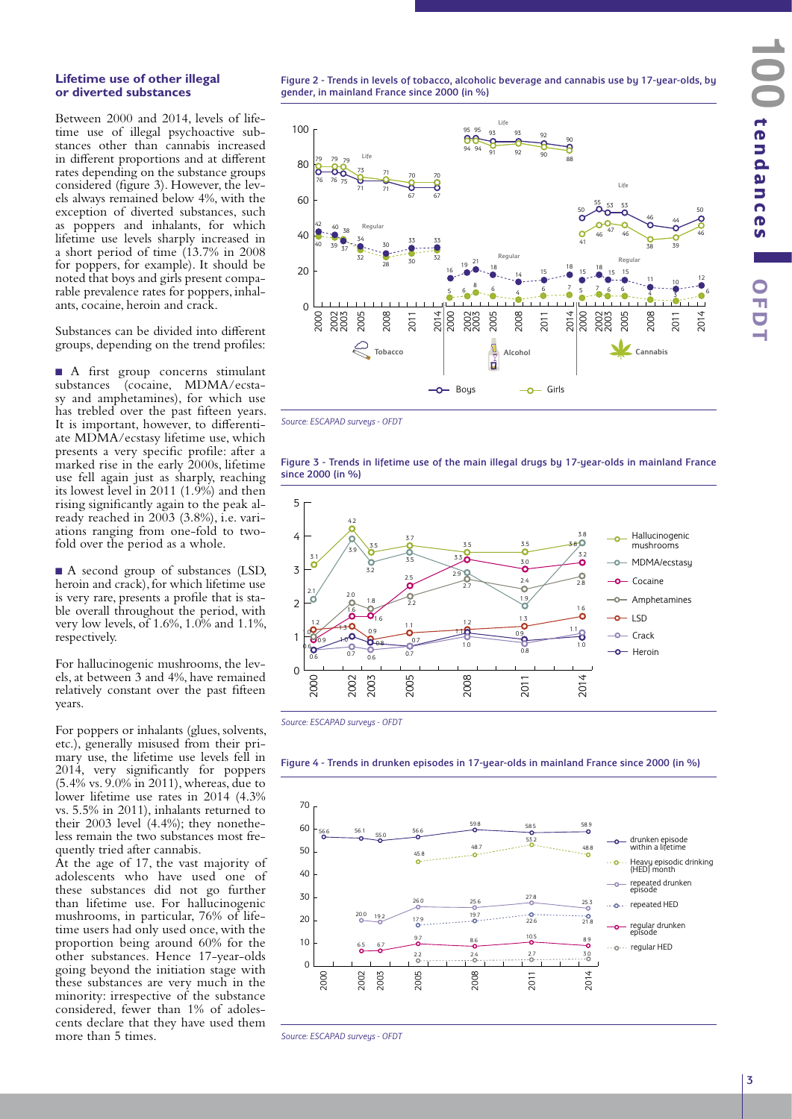#### **Lifetime use of other illegal or diverted substances**

Between 2000 and 2014, levels of lifetime use of illegal psychoactive substances other than cannabis increased in different proportions and at different rates depending on the substance groups considered (figure 3). However, the levels always remained below 4%, with the exception of diverted substances, such as poppers and inhalants, for which lifetime use levels sharply increased in a short period of time (13.7% in 2008 for poppers, for example). It should be noted that boys and girls present comparable prevalence rates for poppers, inhalants, cocaine, heroin and crack.

Substances can be divided into different groups, depending on the trend profiles:

n A first group concerns stimulant substances (cocaine, MDMA/ecstasy and amphetamines), for which use has trebled over the past fifteen years. It is important, however, to differentiate MDMA/ecstasy lifetime use, which presents a very specific profile: after a marked rise in the early 2000s, lifetime use fell again just as sharply, reaching its lowest level in 2011 (1.9%) and then rising significantly again to the peak already reached in 2003 (3.8%), i.e. variations ranging from one-fold to twofold over the period as a whole.

■ A second group of substances (LSD, heroin and crack), for which lifetime use is very rare, presents a profile that is stable overall throughout the period, with very low levels, of 1.6%, 1.0% and 1.1%, respectively.

For hallucinogenic mushrooms, the levels, at between 3 and 4%, have remained relatively constant over the past fifteen years.

For poppers or inhalants (glues, solvents, etc.), generally misused from their primary use, the lifetime use levels fell in 2014, very significantly for poppers (5.4% vs. 9.0% in 2011), whereas, due to lower lifetime use rates in 2014 (4.3% vs. 5.5% in 2011), inhalants returned to their 2003 level (4.4%); they nonetheless remain the two substances most frequently tried after cannabis.

At the age of 17, the vast majority of adolescents who have used one of these substances did not go further than lifetime use. For hallucinogenic mushrooms, in particular, 76% of lifetime users had only used once, with the proportion being around 60% for the other substances. Hence 17-year-olds going beyond the initiation stage with these substances are very much in the minority: irrespective of the substance considered, fewer than 1% of adolescents declare that they have used them more than 5 times.

Figure 2 - Trends in levels of tobacco, alcoholic beverage and cannabis use by 17-year-olds, by gender, in mainland France since 2000 (in %)



*Source: ESCAPAD surveys - OFDT* 







2002 2003

0.7

 $\overline{0}$ 

2005

0.7

0

2000

0.6



#### Figure 4 - Trends in drunken episodes in 17-year-olds in mainland France since 2000 (in %)

2011

0.8

2014

o-Heroin

2008

*Source: ESCAPAD surveys - OFDT*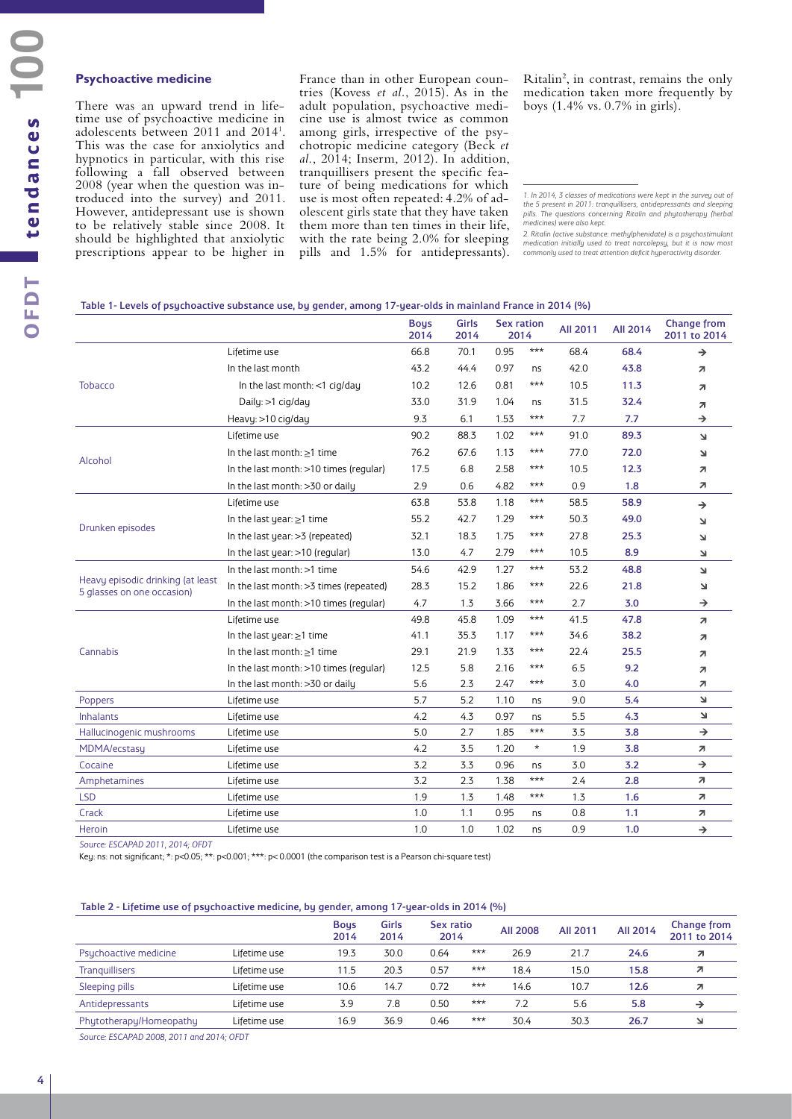#### **Psychoactive medicine**

There was an upward trend in lifetime use of psychoactive medicine in adolescents between 2011 and 20141 . This was the case for anxiolytics and hypnotics in particular, with this rise following a fall observed between 2008 (year when the question was introduced into the survey) and 2011. However, antidepressant use is shown to be relatively stable since 2008. It should be highlighted that anxiolytic prescriptions appear to be higher in

France than in other European countries (Kovess *et al.*, 2015). As in the adult population, psychoactive medicine use is almost twice as common among girls, irrespective of the psychotropic medicine category (Beck *et al.*, 2014; Inserm, 2012). In addition, tranquillisers present the specific feature of being medications for which use is most often repeated: 4.2% of adolescent girls state that they have taken them more than ten times in their life, with the rate being 2.0% for sleeping pills and 1.5% for antidepressants).

Ritalin<sup>2</sup>, in contrast, remains the only medication taken more frequently by boys (1.4% vs. 0.7% in girls).

#### Table 1- Levels of psychoactive substance use, by gender, among 17-year-olds in mainland France in 2014 (%)

|                                                                 |                                         | <b>Boys</b><br>2014 | Girls<br>2014 | <b>Sex ration</b><br>2014 |         | All 2011 | All 2014 | <b>Change from</b><br>2011 to 2014 |
|-----------------------------------------------------------------|-----------------------------------------|---------------------|---------------|---------------------------|---------|----------|----------|------------------------------------|
|                                                                 | Lifetime use                            | 66.8                | 70.1          | 0.95                      | $***$   | 68.4     | 68.4     | →                                  |
|                                                                 | In the last month                       | 43.2                | 44.4          | 0.97                      | ns      | 42.0     | 43.8     | $\overline{\mathbf{z}}$            |
| <b>Tobacco</b>                                                  | In the last month: $<$ 1 cig/day        | 10.2                | 12.6          | 0.81                      | $***$   | 10.5     | 11.3     | $\overline{\mathbf{z}}$            |
|                                                                 | Daily: >1 cig/day                       | 33.0                | 31.9          | 1.04                      | ns      | 31.5     | 32.4     | $\overline{\mathbf{z}}$            |
|                                                                 | Heavy: >10 cig/day                      | 9.3                 | 6.1           | 1.53                      | $***$   | 7.7      | 7.7      | →                                  |
|                                                                 | Lifetime use                            | 90.2                | 88.3          | 1.02                      | $***$   | 91.0     | 89.3     | Ł.                                 |
|                                                                 | In the last month: $\geq$ 1 time        | 76.2                | 67.6          | 1.13                      | $***$   | 77.0     | 72.0     | 7                                  |
| Alcohol                                                         | In the last month: >10 times (regular)  | 17.5                | 6.8           | 2.58                      | $***$   | 10.5     | 12.3     | 71                                 |
|                                                                 | In the last month: >30 or daily         | 2.9                 | 0.6           | 4.82                      | ***     | 0.9      | 1.8      | 7                                  |
|                                                                 | Lifetime use                            | 63.8                | 53.8          | 1.18                      | $***$   | 58.5     | 58.9     | $\rightarrow$                      |
|                                                                 | In the last year: $\geq$ 1 time         | 55.2                | 42.7          | 1.29                      | $***$   | 50.3     | 49.0     | N                                  |
| Drunken episodes                                                | In the last year: > 3 (repeated)        | 32.1                | 18.3          | 1.75                      | $***$   | 27.8     | 25.3     | 7                                  |
|                                                                 | In the last year: >10 (regular)         | 13.0                | 4.7           | 2.79                      | $***$   | 10.5     | 8.9      | $\mathbf{z}$                       |
|                                                                 | In the last month: $>1$ time            | 54.6                | 42.9          | 1.27                      | ***     | 53.2     | 48.8     | Ł.                                 |
| Heavy episodic drinking (at least<br>5 glasses on one occasion) | In the last month: > 3 times (repeated) | 28.3                | 15.2          | 1.86                      | ***     | 22.6     | 21.8     | $\overline{\mathbf{r}}$            |
|                                                                 | In the last month: >10 times (regular)  | 4.7                 | 1.3           | 3.66                      | $***$   | 2.7      | 3.0      | $\rightarrow$                      |
|                                                                 | Lifetime use                            | 49.8                | 45.8          | 1.09                      | ***     | 41.5     | 47.8     | $\overline{\mathbf{z}}$            |
|                                                                 | In the last year: $\geq$ 1 time         | 41.1                | 35.3          | 1.17                      | $***$   | 34.6     | 38.2     | $\overline{\mathbf{z}}$            |
| Cannabis                                                        | In the last month: $\geq$ 1 time        | 29.1                | 21.9          | 1.33                      | $***$   | 22.4     | 25.5     | 71                                 |
|                                                                 | In the last month: >10 times (regular)  | 12.5                | 5.8           | 2.16                      | $***$   | 6.5      | 9.2      | $\overline{\mathbf{z}}$            |
|                                                                 | In the last month: >30 or daily         | 5.6                 | 2.3           | 2.47                      | ***     | 3.0      | 4.0      | $\overline{\mathbf{z}}$            |
| Poppers                                                         | Lifetime use                            | 5.7                 | 5.2           | 1.10                      | ns      | 9.0      | 5.4      | Ł.                                 |
| <b>Inhalants</b>                                                | Lifetime use                            | 4.2                 | 4.3           | 0.97                      | ns.     | 5.5      | 4.3      | 7                                  |
| Hallucinogenic mushrooms                                        | Lifetime use                            | 5.0                 | 2.7           | 1.85                      | $***$   | 3.5      | 3.8      | $\rightarrow$                      |
| MDMA/ecstasy                                                    | Lifetime use                            | 4.2                 | 3.5           | 1.20                      | $\star$ | 1.9      | 3.8      | $\overline{\phantom{a}}$           |
| Cocaine                                                         | Lifetime use                            | 3.2                 | 3.3           | 0.96                      | ns      | 3.0      | 3.2      | $\rightarrow$                      |
| Amphetamines                                                    | Lifetime use                            | 3.2                 | 2.3           | 1.38                      | $***$   | 2.4      | 2.8      | 71                                 |
| <b>LSD</b>                                                      | Lifetime use                            | 1.9                 | 1.3           | 1.48                      | $***$   | 1.3      | 1.6      | $\overline{\mathbf{z}}$            |
| Crack                                                           | Lifetime use                            | 1.0                 | 1.1           | 0.95                      | ns      | 0.8      | 1.1      | 7                                  |
| Heroin                                                          | Lifetime use                            | 1.0                 | 1.0           | 1.02                      | ns      | 0.9      | 1.0      | $\rightarrow$                      |

*Source: ESCAPAD 2011, 2014; OFDT*

Key: ns: not significant; \*: p<0.05; \*\*: p<0.001; \*\*\*: p< 0.0001 (the comparison test is a Pearson chi-square test)

#### Table 2 - Lifetime use of psychoactive medicine, by gender, among 17-year-olds in 2014 (%)

|                         |              | <b>Boys</b><br>2014 | Girls<br>2014 | Sex ratio<br>2014 |       | All 2008 | All 2011 | All 2014 | Change from<br>2011 to 2014 |
|-------------------------|--------------|---------------------|---------------|-------------------|-------|----------|----------|----------|-----------------------------|
| Psychoactive medicine   | Lifetime use | 19.3                | 30.0          | 0.64              | $***$ | 26.9     | 21.7     | 24.6     | $\mathcal{L}$               |
| <b>Tranquillisers</b>   | Lifetime use | 11.5                | 20.3          | 0.57              | $***$ | 18.4     | 15.0     | 15.8     | и                           |
| Sleeping pills          | Lifetime use | 10.6                | 14.7          | 0.72              | $***$ | 14.6     | 10.7     | 12.6     | и                           |
| Antidepressants         | Lifetime use | 3.9                 | 7.8           | 0.50              | $***$ | 7.2      | 5.6      | 5.8      | $\rightarrow$               |
| Phytotherapy/Homeopathy | Lifetime use | 16.9                | 36.9          | 0.46              | $***$ | 30.4     | 30.3     | 26.7     | لا                          |

*Source: ESCAPAD 2008, 2011 and 2014; OFDT*

*<sup>1.</sup> In 2014, 3 classes of medications were kept in the survey out of the 5 present in 2011: tranquillisers, antidepressants and sleeping pills. The questions concerning Ritalin and phytotherapy (herbal medicines) were also kept.*

*<sup>2.</sup> Ritalin (active substance: methylphenidate) is a psychostimulant medication initially used to treat narcolepsy, but it is now most commonly used to treat attention deficit hyperactivity disorder.*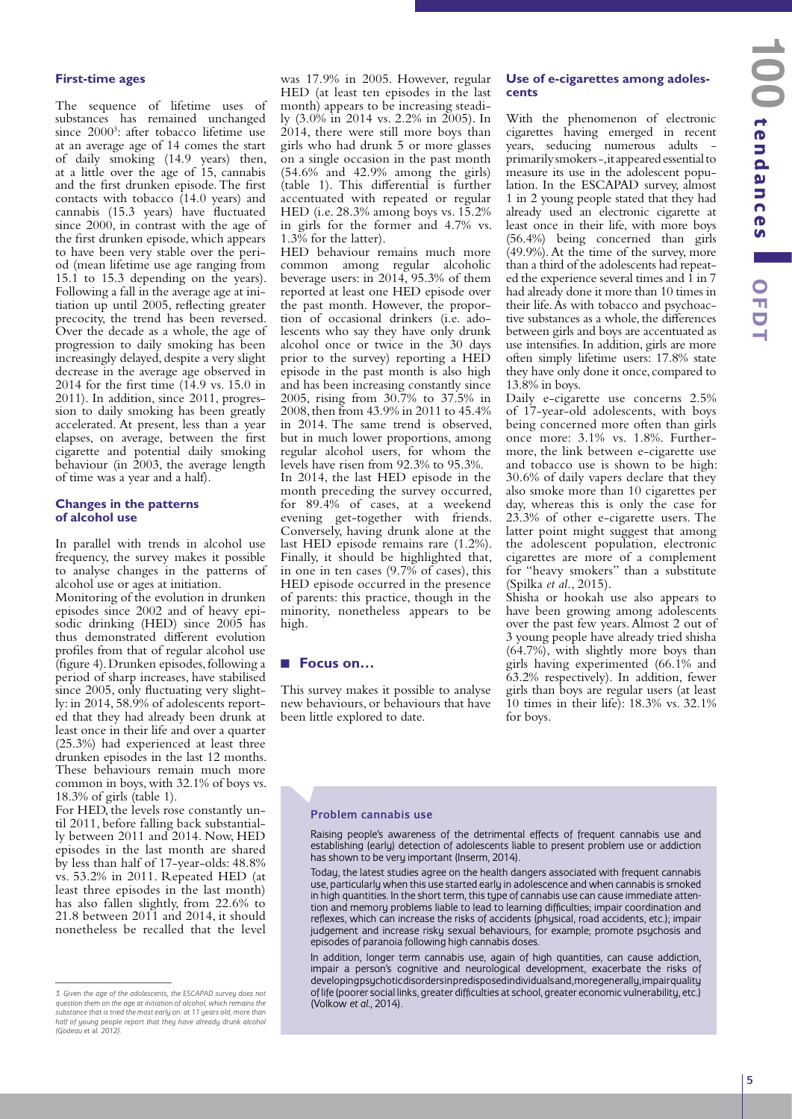## **First-time ages**

The sequence of lifetime uses of substances has remained unchanged since 2000<sup>3</sup>: after tobacco lifetime use at an average age of 14 comes the start of daily smoking (14.9 years) then, at a little over the age of 15, cannabis and the first drunken episode. The first contacts with tobacco (14.0 years) and cannabis (15.3 years) have fluctuated since 2000, in contrast with the age of the first drunken episode, which appears to have been very stable over the period (mean lifetime use age ranging from 15.1 to 15.3 depending on the years). Following a fall in the average age at initiation up until 2005, reflecting greater precocity, the trend has been reversed. Over the decade as a whole, the age of progression to daily smoking has been increasingly delayed, despite a very slight decrease in the average age observed in 2014 for the first time (14.9 vs. 15.0 in 2011). In addition, since 2011, progression to daily smoking has been greatly accelerated. At present, less than a year elapses, on average, between the first cigarette and potential daily smoking behaviour (in 2003, the average length of time was a year and a half).

#### **Changes in the patterns of alcohol use**

In parallel with trends in alcohol use frequency, the survey makes it possible to analyse changes in the patterns of alcohol use or ages at initiation.

Monitoring of the evolution in drunken episodes since 2002 and of heavy episodic drinking (HED) since 2005 has thus demonstrated different evolution profiles from that of regular alcohol use (figure 4). Drunken episodes, following a period of sharp increases, have stabilised since 2005, only fluctuating very slightly: in 2014, 58.9% of adolescents reported that they had already been drunk at least once in their life and over a quarter (25.3%) had experienced at least three drunken episodes in the last 12 months. These behaviours remain much more common in boys, with 32.1% of boys vs. 18.3% of girls (table 1).

For HED, the levels rose constantly until 2011, before falling back substantially between 2011 and 2014. Now, HED episodes in the last month are shared by less than half of 17-year-olds: 48.8% vs. 53.2% in 2011. Repeated HED (at least three episodes in the last month) has also fallen slightly, from 22.6% to 21.8 between 2011 and 2014, it should nonetheless be recalled that the level

was 17.9% in 2005. However, regular HED (at least ten episodes in the last month) appears to be increasing steadily (3.0% in 2014 vs. 2.2% in 2005). In 2014, there were still more boys than girls who had drunk 5 or more glasses on a single occasion in the past month (54.6% and 42.9% among the girls) (table 1). This differential is further accentuated with repeated or regular HED (i.e. 28.3% among boys vs. 15.2% in girls for the former and 4.7% vs. 1.3% for the latter).

HED behaviour remains much more common among regular alcoholic beverage users: in 2014, 95.3% of them reported at least one HED episode over the past month. However, the proportion of occasional drinkers (i.e. adolescents who say they have only drunk alcohol once or twice in the 30 days prior to the survey) reporting a HED episode in the past month is also high and has been increasing constantly since 2005, rising from 30.7% to 37.5% in 2008, then from 43.9% in 2011 to 45.4% in 2014. The same trend is observed, but in much lower proportions, among regular alcohol users, for whom the levels have risen from 92.3% to 95.3%.

In 2014, the last HED episode in the month preceding the survey occurred, for 89.4% of cases, at a weekend evening get-together with friends. Conversely, having drunk alone at the last HED episode remains rare (1.2%). Finally, it should be highlighted that, in one in ten cases (9.7% of cases), this HED episode occurred in the presence of parents: this practice, though in the minority, nonetheless appears to be high.

### ■ Focus on…

This survey makes it possible to analyse new behaviours, or behaviours that have been little explored to date.

#### **Use of e-cigarettes among adolescents**

With the phenomenon of electronic cigarettes having emerged in recent years, seducing numerous adults primarily smokers -, it appeared essential to measure its use in the adolescent population. In the ESCAPAD survey, almost 1 in 2 young people stated that they had already used an electronic cigarette at least once in their life, with more boys (56.4%) being concerned than girls (49.9%). At the time of the survey, more than a third of the adolescents had repeated the experience several times and 1 in 7 had already done it more than 10 times in their life. As with tobacco and psychoactive substances as a whole, the differences between girls and boys are accentuated as use intensifies. In addition, girls are more often simply lifetime users: 17.8% state they have only done it once, compared to 13.8% in boys.

Daily e-cigarette use concerns 2.5% of 17-year-old adolescents, with boys being concerned more often than girls once more: 3.1% vs. 1.8%. Furthermore, the link between e-cigarette use and tobacco use is shown to be high: 30.6% of daily vapers declare that they also smoke more than 10 cigarettes per day, whereas this is only the case for 23.3% of other e-cigarette users. The latter point might suggest that among the adolescent population, electronic cigarettes are more of a complement for "heavy smokers" than a substitute (Spilka *et al.*, 2015).

Shisha or hookah use also appears to have been growing among adolescents over the past few years. Almost 2 out of 3 young people have already tried shisha (64.7%), with slightly more boys than girls having experimented (66.1% and 63.2% respectively). In addition, fewer girls than boys are regular users (at least 10 times in their life): 18.3% vs. 32.1% for boys.

#### Problem cannabis use

Raising people's awareness of the detrimental effects of frequent cannabis use and establishing (early) detection of adolescents liable to present problem use or addiction has shown to be very important (Inserm, 2014).

Today, the latest studies agree on the health dangers associated with frequent cannabis use, particularly when this use started early in adolescence and when cannabis is smoked in high quantities. In the short term, this type of cannabis use can cause immediate attention and memory problems liable to lead to learning difficulties; impair coordination and reflexes, which can increase the risks of accidents (physical, road accidents, etc.); impair judgement and increase risky sexual behaviours, for example; promote psychosis and episodes of paranoia following high cannabis doses.

In addition, longer term cannabis use, again of high quantities, can cause addiction, impair a person's cognitive and neurological development, exacerbate the risks of developing psychotic disorders in predisposed individuals and, more generally, impair quality of life (poorer social links, greater difficulties at school, greater economic vulnerability, etc.) (Volkow *et al.*, 2014).

*<sup>3.</sup> Given the age of the adolescents, the ESCAPAD survey does not question them on the age at initiation of alcohol, which remains the substance that is tried the most early on: at 11 years old, more than half of young people report that they have already drunk alcohol (Godeau* et al. *2012).*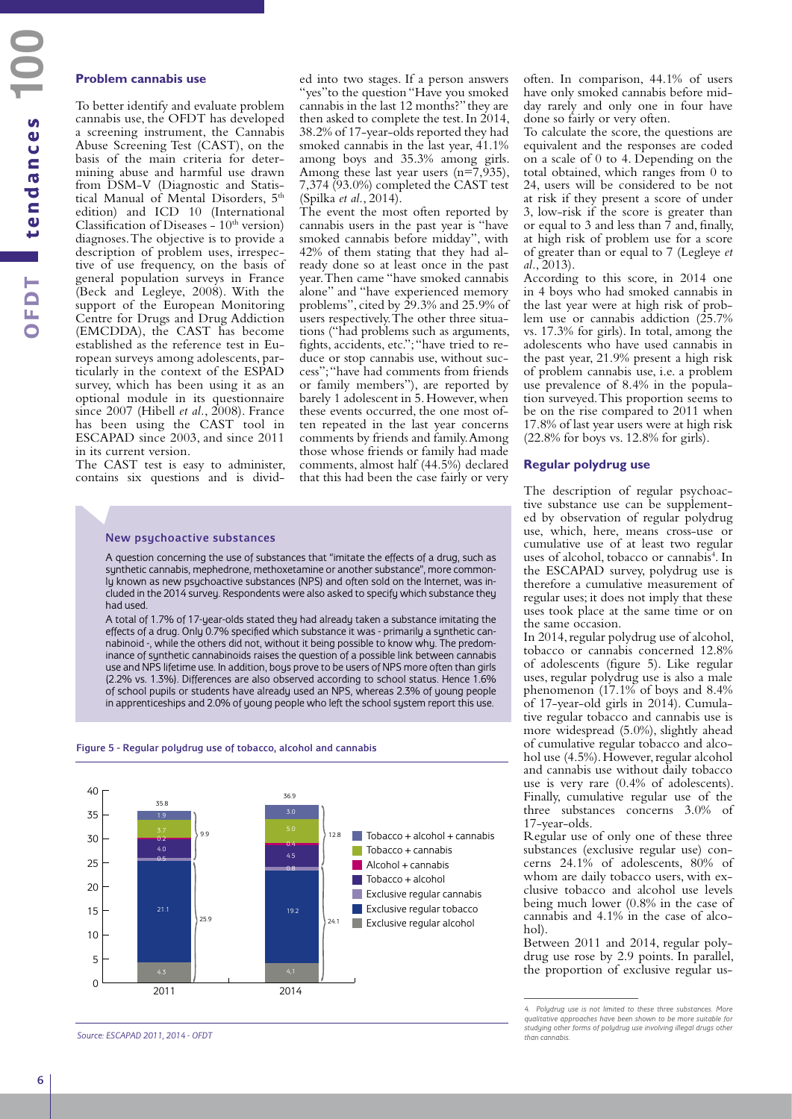#### **Problem cannabis use**

To better identify and evaluate problem cannabis use, the OFDT has developed a screening instrument, the Cannabis Abuse Screening Test (CAST), on the basis of the main criteria for determining abuse and harmful use drawn from DSM-V (Diagnostic and Statistical Manual of Mental Disorders, 5<sup>th</sup> edition) and ICD 10 (International Classification of Diseases -  $10<sup>th</sup>$  version) diagnoses. The objective is to provide a description of problem uses, irrespective of use frequency, on the basis of general population surveys in France (Beck and Legleye, 2008). With the support of the European Monitoring Centre for Drugs and Drug Addiction (EMCDDA), the CAST has become established as the reference test in European surveys among adolescents, particularly in the context of the ESPAD survey, which has been using it as an optional module in its questionnaire since 2007 (Hibell *et al.*, 2008). France has been using the CAST tool in ESCAPAD since 2003, and since 2011 in its current version.

The CAST test is easy to administer, contains six questions and is divid-

ed into two stages. If a person answers "yes"to the question "Have you smoked cannabis in the last 12 months?" they are then asked to complete the test. In 2014, 38.2% of 17-year-olds reported they had smoked cannabis in the last year, 41.1% among boys and 35.3% among girls. Among these last year users  $(n=7,935)$ , 7,374 (93.0%) completed the CAST test (Spilka *et al.*, 2014).

The event the most often reported by cannabis users in the past year is "have smoked cannabis before midday", with 42% of them stating that they had already done so at least once in the past year. Then came "have smoked cannabis alone" and "have experienced memory problems", cited by 29.3% and 25.9% of users respectively. The other three situations ("had problems such as arguments, fights, accidents, etc."; "have tried to reduce or stop cannabis use, without success"; "have had comments from friends or family members"), are reported by barely 1 adolescent in 5. However, when these events occurred, the one most often repeated in the last year concerns comments by friends and family. Among those whose friends or family had made comments, almost half (44.5%) declared that this had been the case fairly or very

#### New psychoactive substances

A question concerning the use of substances that "imitate the effects of a drug, such as synthetic cannabis, mephedrone, methoxetamine or another substance", more commonly known as new psychoactive substances (NPS) and often sold on the Internet, was included in the 2014 survey. Respondents were also asked to specify which substance they had used.

A total of 1.7% of 17-year-olds stated they had already taken a substance imitating the effects of a drug. Only 0.7% specified which substance it was - primarily a synthetic cannabinoid -, while the others did not, without it being possible to know why. The predominance of synthetic cannabinoids raises the question of a possible link between cannabis use and NPS lifetime use. In addition, boys prove to be users of NPS more often than girls (2.2% vs. 1.3%). Differences are also observed according to school status. Hence 1.6% of school pupils or students have already used an NPS, whereas 2.3% of young people in apprenticeships and 2.0% of young people who left the school system report this use.

#### Figure 5 - Regular polydrug use of tobacco, alcohol and cannabis



*Source: ESCAPAD 2011, 2014 - OFDT*

often. In comparison, 44.1% of users have only smoked cannabis before midday rarely and only one in four have done so fairly or very often.

To calculate the score, the questions are equivalent and the responses are coded on a scale of 0 to 4. Depending on the total obtained, which ranges from 0 to 24, users will be considered to be not at risk if they present a score of under 3, low-risk if the score is greater than or equal to 3 and less than 7 and, finally, at high risk of problem use for a score of greater than or equal to 7 (Legleye *et al.*, 2013).

According to this score, in 2014 one in 4 boys who had smoked cannabis in the last year were at high risk of problem use or cannabis addiction (25.7% vs. 17.3% for girls). In total, among the adolescents who have used cannabis in the past year, 21.9% present a high risk of problem cannabis use, i.e. a problem use prevalence of 8.4% in the population surveyed. This proportion seems to be on the rise compared to 2011 when 17.8% of last year users were at high risk (22.8% for boys vs. 12.8% for girls).

#### **Regular polydrug use**

The description of regular psychoactive substance use can be supplemented by observation of regular polydrug use, which, here, means cross-use or cumulative use of at least two regular uses of alcohol, tobacco or cannabis<sup>4</sup>. In the ESCAPAD survey, polydrug use is therefore a cumulative measurement of regular uses; it does not imply that these uses took place at the same time or on the same occasion.

In 2014, regular polydrug use of alcohol, tobacco or cannabis concerned 12.8% of adolescents (figure 5). Like regular uses, regular polydrug use is also a male phenomenon (17.1% of boys and 8.4% of 17-year-old girls in 2014). Cumulative regular tobacco and cannabis use is more widespread (5.0%), slightly ahead of cumulative regular tobacco and alcohol use (4.5%). However, regular alcohol and cannabis use without daily tobacco use is very rare (0.4% of adolescents). Finally, cumulative regular use of the three substances concerns 3.0% of 17-year-olds.

Regular use of only one of these three substances (exclusive regular use) concerns 24.1% of adolescents, 80% of whom are daily tobacco users, with exclusive tobacco and alcohol use levels being much lower (0.8% in the case of cannabis and 4.1% in the case of alco $h_0$ 

Between 2011 and 2014, regular polydrug use rose by 2.9 points. In parallel, the proportion of exclusive regular us-

*<sup>4.</sup> Polydrug use is not limited to these three substances. More qualitative approaches have been shown to be more suitable for studying other forms of polydrug use involving illegal drugs other than cannabis.*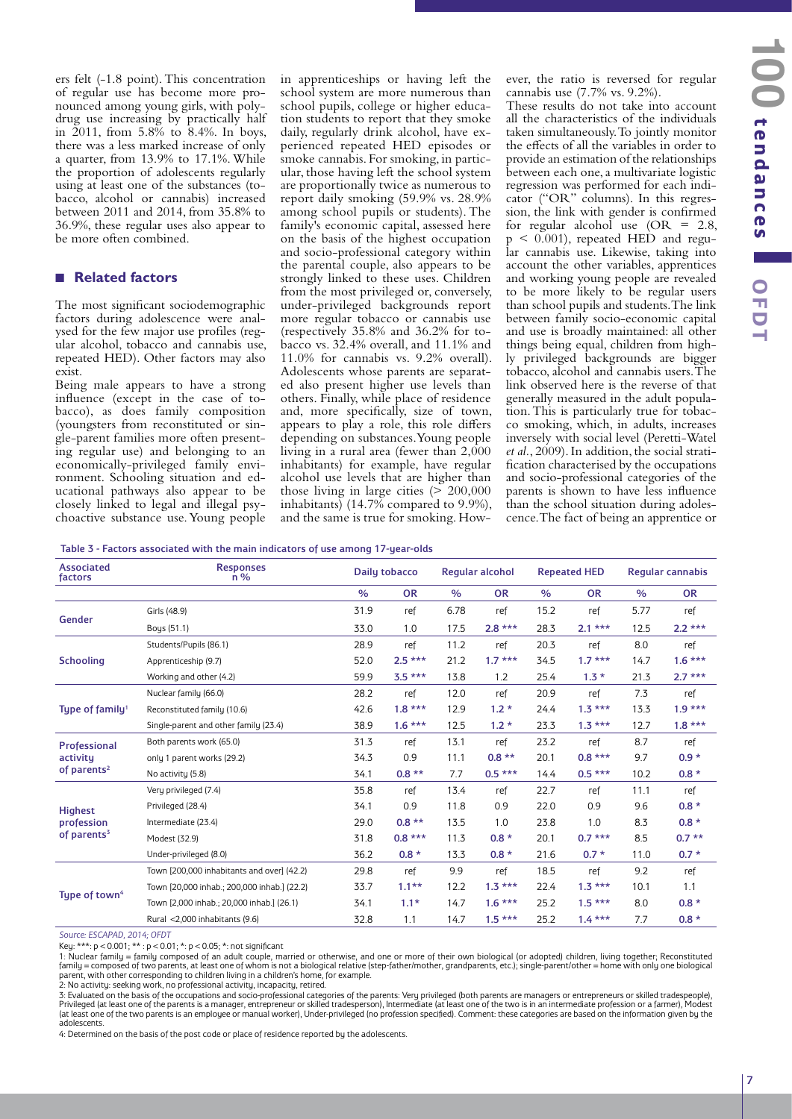**tendances OO** tendances **CED 100** tendances **OFDT** 

ers felt (-1.8 point). This concentration of regular use has become more pronounced among young girls, with polydrug use increasing by practically half in 2011, from 5.8% to 8.4%. In boys, there was a less marked increase of only a quarter, from 13.9% to 17.1%. While the proportion of adolescents regularly using at least one of the substances (tobacco, alcohol or cannabis) increased between 2011 and 2014, from 35.8% to 36.9%, these regular uses also appear to be more often combined.

# Q **Related factors**

The most significant sociodemographic factors during adolescence were analysed for the few major use profiles (regular alcohol, tobacco and cannabis use, repeated HED). Other factors may also exist.

Being male appears to have a strong influence (except in the case of tobacco), as does family composition (youngsters from reconstituted or single-parent families more often presenting regular use) and belonging to an economically-privileged family environment. Schooling situation and educational pathways also appear to be closely linked to legal and illegal psychoactive substance use. Young people

in apprenticeships or having left the school system are more numerous than school pupils, college or higher education students to report that they smoke daily, regularly drink alcohol, have experienced repeated HED episodes or smoke cannabis. For smoking, in particular, those having left the school system are proportionally twice as numerous to report daily smoking (59.9% vs. 28.9% among school pupils or students). The family's economic capital, assessed here on the basis of the highest occupation and socio-professional category within the parental couple, also appears to be strongly linked to these uses. Children from the most privileged or, conversely, under-privileged backgrounds report more regular tobacco or cannabis use (respectively 35.8% and 36.2% for tobacco vs. 32.4% overall, and 11.1% and 11.0% for cannabis vs. 9.2% overall). Adolescents whose parents are separated also present higher use levels than others. Finally, while place of residence and, more specifically, size of town, appears to play a role, this role differs depending on substances. Young people living in a rural area (fewer than 2,000 inhabitants) for example, have regular alcohol use levels that are higher than those living in large cities  $(> 200,000)$ inhabitants) (14.7% compared to 9.9%), and the same is true for smoking. However, the ratio is reversed for regular cannabis use (7.7% vs. 9.2%).

These results do not take into account all the characteristics of the individuals taken simultaneously. To jointly monitor the effects of all the variables in order to provide an estimation of the relationships between each one, a multivariate logistic regression was performed for each indicator ("OR" columns). In this regression, the link with gender is confirmed for regular alcohol use  $(OR = 2.8,$  $p < 0.001$ ), repeated HED and regular cannabis use. Likewise, taking into account the other variables, apprentices and working young people are revealed to be more likely to be regular users than school pupils and students. The link between family socio-economic capital and use is broadly maintained: all other things being equal, children from highly privileged backgrounds are bigger tobacco, alcohol and cannabis users. The link observed here is the reverse of that generally measured in the adult population. This is particularly true for tobacco smoking, which, in adults, increases inversely with social level (Peretti-Watel *et al.*, 2009). In addition, the social stratification characterised by the occupations and socio-professional categories of the parents is shown to have less influence than the school situation during adolescence. The fact of being an apprentice or

Table 3 - Factors associated with the main indicators of use among 17-year-olds

| Associated<br>factors       | <b>Responses</b><br>$n\%$                   | Daily tobacco |           | Regular alcohol |           | <b>Repeated HED</b> |           | <b>Regular cannabis</b> |           |
|-----------------------------|---------------------------------------------|---------------|-----------|-----------------|-----------|---------------------|-----------|-------------------------|-----------|
|                             |                                             | $\%$          | <b>OR</b> | $\%$            | <b>OR</b> | $\%$                | <b>OR</b> | $\frac{9}{6}$           | <b>OR</b> |
|                             | Girls (48.9)                                | 31.9          | ref       | 6.78            | ref       | 15.2                | ref       | 5.77                    | ref       |
| Gender                      | Boys (51.1)                                 | 33.0          | 1.0       | 17.5            | $2.8***$  | 28.3                | $2.1***$  | 12.5                    | $2.2***$  |
|                             | Students/Pupils (86.1)                      | 28.9          | ref       | 11.2            | ref       | 20.3                | ref       | 8.0                     | ref       |
| <b>Schooling</b>            | Apprenticeship (9.7)                        | 52.0          | $2.5***$  | 21.2            | $1.7***$  | 34.5                | $1.7***$  | 14.7                    | $1.6***$  |
|                             | Working and other (4.2)                     | 59.9          | $3.5***$  | 13.8            | 1.2       | 25.4                | $1.3*$    | 21.3                    | $2.7***$  |
|                             | Nuclear family (66.0)                       | 28.2          | ref       | 12.0            | ref       | 20.9                | ref       | 7.3                     | ref       |
| Type of family <sup>1</sup> | Reconstituted family (10.6)                 | 42.6          | $1.8***$  | 12.9            | $1.2*$    | 24.4                | $1.3***$  | 13.3                    | $1.9***$  |
|                             | Single-parent and other family (23.4)       | 38.9          | $1.6***$  | 12.5            | $1.2*$    | 23.3                | $1.3***$  | 12.7                    | $1.8***$  |
| Professional                | Both parents work (65.0)                    | 31.3          | ref       | 13.1            | ref       | 23.2                | ref       | 8.7                     | ref       |
| activity                    | only 1 parent works (29.2)                  | 34.3          | 0.9       | 11.1            | $0.8**$   | 20.1                | $0.8***$  | 9.7                     | $0.9 *$   |
| of parents <sup>2</sup>     | No activity (5.8)                           | 34.1          | $0.8***$  | 7.7             | $0.5***$  | 14.4                | $0.5***$  | 10.2                    | $0.8 *$   |
|                             | Very privileged (7.4)                       | 35.8          | ref       | 13.4            | ref       | 22.7                | ref       | 11.1                    | ref       |
| <b>Highest</b>              | Privileged (28.4)                           | 34.1          | 0.9       | 11.8            | 0.9       | 22.0                | 0.9       | 9.6                     | $0.8 *$   |
| profession                  | Intermediate (23.4)                         | 29.0          | $0.8**$   | 13.5            | 1.0       | 23.8                | 1.0       | 8.3                     | $0.8 *$   |
| of parents $3$              | Modest (32.9)                               | 31.8          | $0.8***$  | 11.3            | $0.8 *$   | 20.1                | $0.7***$  | 8.5                     | $0.7**$   |
|                             | Under-privileged (8.0)                      | 36.2          | $0.8 *$   | 13.3            | $0.8 *$   | 21.6                | $0.7 *$   | 11.0                    | $0.7 *$   |
|                             | Town [200,000 inhabitants and over] (42.2)  | 29.8          | ref       | 9.9             | ref       | 18.5                | ref       | 9.2                     | ref       |
|                             | Town [20,000 inhab.; 200,000 inhab.] (22.2) | 33.7          | $1.1***$  | 12.2            | $1.3***$  | 22.4                | $1.3***$  | 10.1                    | 1.1       |
| Type of town <sup>4</sup>   | Town [2,000 inhab.; 20,000 inhab.] (26.1)   | 34.1          | $1.1*$    | 14.7            | $1.6***$  | 25.2                | $1.5***$  | 8.0                     | $0.8 *$   |
|                             | Rural <2,000 inhabitants (9.6)              | 32.8          | 1.1       | 14.7            | $1.5***$  | 25.2                | $1.4***$  | 7.7                     | $0.8 *$   |

*Source: ESCAPAD, 2014; OFDT*

Key: \*\*\*: p < 0.001; \*\* : p < 0.01; \*: p < 0.05; \*: not significant

1: Nuclear family = family composed of an adult couple, married or otherwise, and one or more of their own biological (or adopted) children, living together; Reconstituted<br>family = composed of two parents, at least one of parent, with other corresponding to children living in a children's home, for example. 2: No activity: seeking work, no professional activity, incapacity, retired.

3: Evaluated on the basis of the occupations and socio-professional categories of the parents: Very privileged (both parents are managers or entrepreneurs or skilled tradespeople), Privileged (at least one of the parents is a manager, entrepreneur or skilled tradesperson), Intermediate (at least one of the two is in an intermediate profession or a farmer), Modest (at least one of the two parents is an employee or manual worker), Under-privileged (no profession specified). Comment: these categories are based on the information given by the adolescents.

4: Determined on the basis of the post code or place of residence reported by the adolescents.